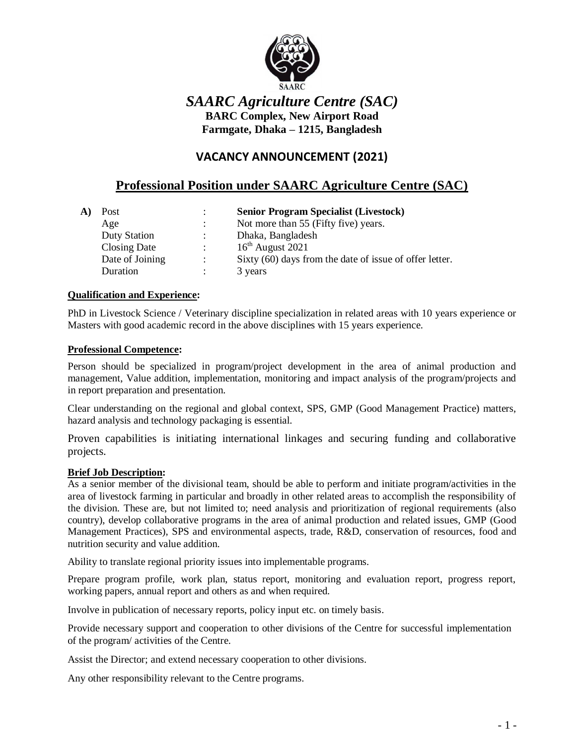

# *SAARC Agriculture Centre (SAC)* **BARC Complex, New Airport Road Farmgate, Dhaka – 1215, Bangladesh**

# **VACANCY ANNOUNCEMENT (2021)**

# **Professional Position under SAARC Agriculture Centre (SAC)**

| Post                | ÷              | <b>Senior Program Specialist (Livestock)</b>            |
|---------------------|----------------|---------------------------------------------------------|
| Age                 | $\ddot{\cdot}$ | Not more than 55 (Fifty five) years.                    |
| <b>Duty Station</b> | $\ddot{\cdot}$ | Dhaka, Bangladesh                                       |
| Closing Date        | ÷              | $16th$ August 2021                                      |
| Date of Joining     | $\ddot{\cdot}$ | Sixty (60) days from the date of issue of offer letter. |
| Duration            | ٠              | 3 years                                                 |

#### **Qualification and Experience:**

PhD in Livestock Science / Veterinary discipline specialization in related areas with 10 years experience or Masters with good academic record in the above disciplines with 15 years experience.

#### **Professional Competence:**

Person should be specialized in program/project development in the area of animal production and management, Value addition, implementation, monitoring and impact analysis of the program/projects and in report preparation and presentation.

Clear understanding on the regional and global context, SPS, GMP (Good Management Practice) matters, hazard analysis and technology packaging is essential.

Proven capabilities is initiating international linkages and securing funding and collaborative projects.

#### **Brief Job Description:**

As a senior member of the divisional team, should be able to perform and initiate program/activities in the area of livestock farming in particular and broadly in other related areas to accomplish the responsibility of the division. These are, but not limited to; need analysis and prioritization of regional requirements (also country), develop collaborative programs in the area of animal production and related issues, GMP (Good Management Practices), SPS and environmental aspects, trade, R&D, conservation of resources, food and nutrition security and value addition.

Ability to translate regional priority issues into implementable programs.

Prepare program profile, work plan, status report, monitoring and evaluation report, progress report, working papers, annual report and others as and when required.

Involve in publication of necessary reports, policy input etc. on timely basis.

Provide necessary support and cooperation to other divisions of the Centre for successful implementation of the program/ activities of the Centre.

Assist the Director; and extend necessary cooperation to other divisions.

Any other responsibility relevant to the Centre programs.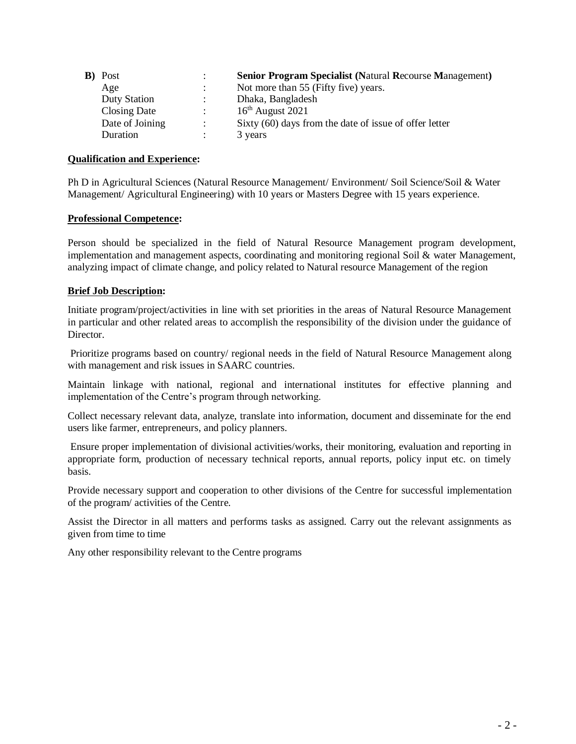| <b>B</b> ) Post     |                      | <b>Senior Program Specialist (Natural Recourse Management)</b> |
|---------------------|----------------------|----------------------------------------------------------------|
| Age                 |                      | Not more than 55 (Fifty five) years.                           |
| <b>Duty Station</b> | $\ddot{\phantom{0}}$ | Dhaka, Bangladesh                                              |
| Closing Date        |                      | $16th$ August 2021                                             |
| Date of Joining     |                      | Sixty (60) days from the date of issue of offer letter         |
| Duration            |                      | 3 years                                                        |

#### **Qualification and Experience:**

Ph D in Agricultural Sciences (Natural Resource Management/ Environment/ Soil Science/Soil & Water Management/ Agricultural Engineering) with 10 years or Masters Degree with 15 years experience.

#### **Professional Competence:**

Person should be specialized in the field of Natural Resource Management program development, implementation and management aspects, coordinating and monitoring regional Soil & water Management, analyzing impact of climate change, and policy related to Natural resource Management of the region

#### **Brief Job Description:**

Initiate program/project/activities in line with set priorities in the areas of Natural Resource Management in particular and other related areas to accomplish the responsibility of the division under the guidance of **Director** 

Prioritize programs based on country/ regional needs in the field of Natural Resource Management along with management and risk issues in SAARC countries.

Maintain linkage with national, regional and international institutes for effective planning and implementation of the Centre's program through networking.

Collect necessary relevant data, analyze, translate into information, document and disseminate for the end users like farmer, entrepreneurs, and policy planners.

Ensure proper implementation of divisional activities/works, their monitoring, evaluation and reporting in appropriate form, production of necessary technical reports, annual reports, policy input etc. on timely basis.

Provide necessary support and cooperation to other divisions of the Centre for successful implementation of the program/ activities of the Centre.

Assist the Director in all matters and performs tasks as assigned. Carry out the relevant assignments as given from time to time

Any other responsibility relevant to the Centre programs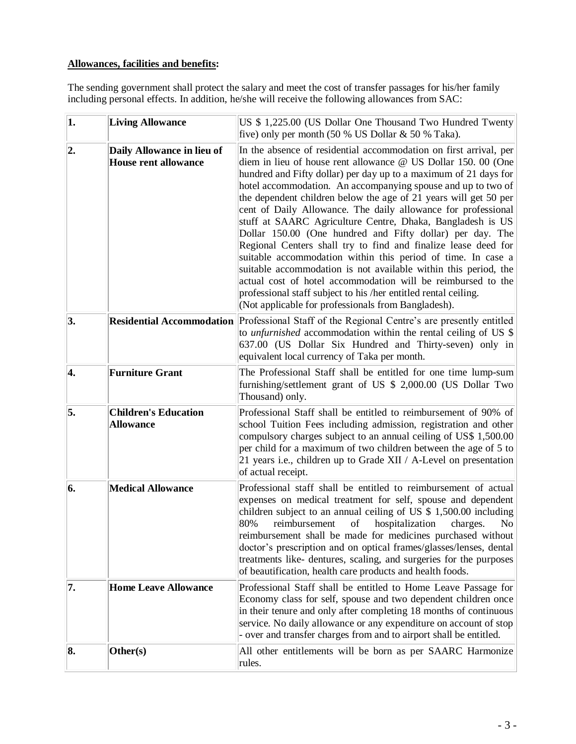### **Allowances, facilities and benefits:**

The sending government shall protect the salary and meet the cost of transfer passages for his/her family including personal effects. In addition, he/she will receive the following allowances from SAC:

| $\vert$ 1. | <b>Living Allowance</b>                                   | US \$1,225.00 (US Dollar One Thousand Two Hundred Twenty<br>five) only per month $(50 % US Dollar & 50 % Taka)$ .                                                                                                                                                                                                                                                                                                                                                                                                                                                                                                                                                                                                                                                                                                                                                                                                                     |
|------------|-----------------------------------------------------------|---------------------------------------------------------------------------------------------------------------------------------------------------------------------------------------------------------------------------------------------------------------------------------------------------------------------------------------------------------------------------------------------------------------------------------------------------------------------------------------------------------------------------------------------------------------------------------------------------------------------------------------------------------------------------------------------------------------------------------------------------------------------------------------------------------------------------------------------------------------------------------------------------------------------------------------|
| 2.         | Daily Allowance in lieu of<br><b>House rent allowance</b> | In the absence of residential accommodation on first arrival, per<br>diem in lieu of house rent allowance @ US Dollar 150. 00 (One<br>hundred and Fifty dollar) per day up to a maximum of 21 days for<br>hotel accommodation. An accompanying spouse and up to two of<br>the dependent children below the age of 21 years will get 50 per<br>cent of Daily Allowance. The daily allowance for professional<br>stuff at SAARC Agriculture Centre, Dhaka, Bangladesh is US<br>Dollar 150.00 (One hundred and Fifty dollar) per day. The<br>Regional Centers shall try to find and finalize lease deed for<br>suitable accommodation within this period of time. In case a<br>suitable accommodation is not available within this period, the<br>actual cost of hotel accommodation will be reimbursed to the<br>professional staff subject to his /her entitled rental ceiling.<br>(Not applicable for professionals from Bangladesh). |
| 3.         |                                                           | Residential Accommodation Professional Staff of the Regional Centre's are presently entitled<br>to <i>unfurnished</i> accommodation within the rental ceiling of US $\$<br>637.00 (US Dollar Six Hundred and Thirty-seven) only in<br>equivalent local currency of Taka per month.                                                                                                                                                                                                                                                                                                                                                                                                                                                                                                                                                                                                                                                    |
| 4.         | <b>Furniture Grant</b>                                    | The Professional Staff shall be entitled for one time lump-sum<br>furnishing/settlement grant of US \$ 2,000.00 (US Dollar Two<br>Thousand) only.                                                                                                                                                                                                                                                                                                                                                                                                                                                                                                                                                                                                                                                                                                                                                                                     |
| 5.         | <b>Children's Education</b><br><b>Allowance</b>           | Professional Staff shall be entitled to reimbursement of 90% of<br>school Tuition Fees including admission, registration and other<br>compulsory charges subject to an annual ceiling of US\$ 1,500.00<br>per child for a maximum of two children between the age of 5 to<br>21 years i.e., children up to Grade XII / A-Level on presentation<br>of actual receipt.                                                                                                                                                                                                                                                                                                                                                                                                                                                                                                                                                                  |
| 6.         | <b>Medical Allowance</b>                                  | Professional staff shall be entitled to reimbursement of actual<br>expenses on medical treatment for self, spouse and dependent<br>children subject to an annual ceiling of US $$1,500.00$ including<br>80%<br>reimbursement<br>hospitalization<br>charges.<br>of<br>N <sub>0</sub><br>reimbursement shall be made for medicines purchased without<br>doctor's prescription and on optical frames/glasses/lenses, dental<br>treatments like- dentures, scaling, and surgeries for the purposes<br>of beautification, health care products and health foods.                                                                                                                                                                                                                                                                                                                                                                           |
| 7.         | <b>Home Leave Allowance</b>                               | Professional Staff shall be entitled to Home Leave Passage for<br>Economy class for self, spouse and two dependent children once<br>in their tenure and only after completing 18 months of continuous<br>service. No daily allowance or any expenditure on account of stop<br>- over and transfer charges from and to airport shall be entitled.                                                                                                                                                                                                                                                                                                                                                                                                                                                                                                                                                                                      |
| 8.         | Other(s)                                                  | All other entitlements will be born as per SAARC Harmonize<br>rules.                                                                                                                                                                                                                                                                                                                                                                                                                                                                                                                                                                                                                                                                                                                                                                                                                                                                  |